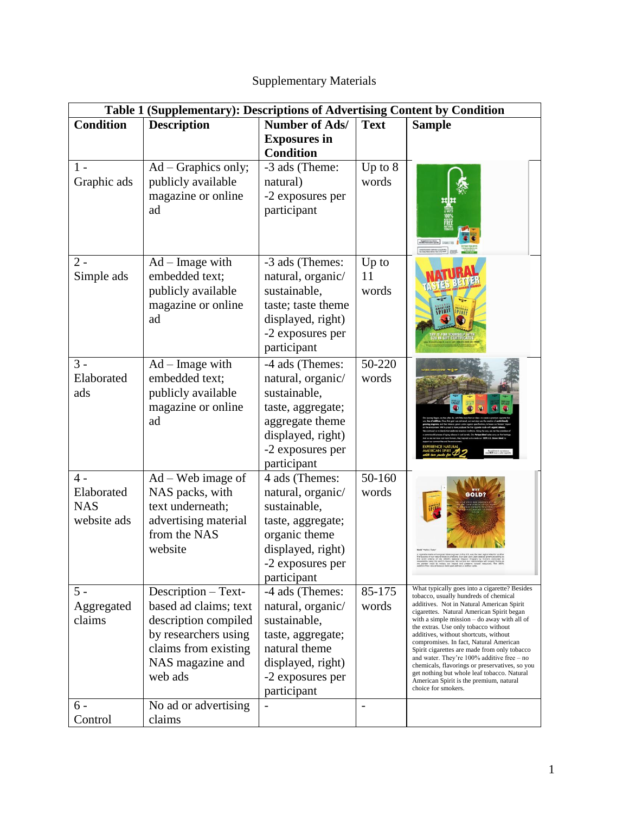## Supplementary Materials

| Table 1 (Supplementary): Descriptions of Advertising Content by Condition |                                                                                                                                                     |                                                                                                                                                      |                          |                                                                                                                                                                                                                                                                                                                                                                                                                                                                                                                                                                                                                                    |  |  |  |
|---------------------------------------------------------------------------|-----------------------------------------------------------------------------------------------------------------------------------------------------|------------------------------------------------------------------------------------------------------------------------------------------------------|--------------------------|------------------------------------------------------------------------------------------------------------------------------------------------------------------------------------------------------------------------------------------------------------------------------------------------------------------------------------------------------------------------------------------------------------------------------------------------------------------------------------------------------------------------------------------------------------------------------------------------------------------------------------|--|--|--|
| <b>Condition</b>                                                          | <b>Description</b>                                                                                                                                  | Number of Ads/                                                                                                                                       | <b>Text</b>              | <b>Sample</b>                                                                                                                                                                                                                                                                                                                                                                                                                                                                                                                                                                                                                      |  |  |  |
|                                                                           |                                                                                                                                                     | <b>Exposures</b> in<br><b>Condition</b>                                                                                                              |                          |                                                                                                                                                                                                                                                                                                                                                                                                                                                                                                                                                                                                                                    |  |  |  |
| $1 -$<br>Graphic ads                                                      | Ad - Graphics only;<br>publicly available<br>magazine or online<br>ad                                                                               | -3 ads (Theme:<br>natural)<br>-2 exposures per<br>participant                                                                                        | Up to $8$<br>words       |                                                                                                                                                                                                                                                                                                                                                                                                                                                                                                                                                                                                                                    |  |  |  |
| $2 -$<br>Simple ads                                                       | $Ad - Image$ with<br>embedded text;<br>publicly available<br>magazine or online<br>ad                                                               | -3 ads (Themes:<br>natural, organic/<br>sustainable,<br>taste; taste theme<br>displayed, right)<br>-2 exposures per<br>participant                   | Up to<br>11<br>words     |                                                                                                                                                                                                                                                                                                                                                                                                                                                                                                                                                                                                                                    |  |  |  |
| $3 -$<br>Elaborated<br>ads                                                | $Ad - Image$ with<br>embedded text;<br>publicly available<br>magazine or online<br>ad                                                               | -4 ads (Themes:<br>natural, organic/<br>sustainable,<br>taste, aggregate;<br>aggregate theme<br>displayed, right)<br>-2 exposures per<br>participant | 50-220<br>words          |                                                                                                                                                                                                                                                                                                                                                                                                                                                                                                                                                                                                                                    |  |  |  |
| $4 -$<br>Elaborated<br><b>NAS</b><br>website ads                          | $Ad-Web$ image of<br>NAS packs, with<br>text underneath;<br>advertising material<br>from the NAS<br>website                                         | 4 ads (Themes:<br>natural, organic/<br>sustainable,<br>taste, aggregate;<br>organic theme<br>displayed, right)<br>-2 exposures per<br>participant    | 50-160<br>words          |                                                                                                                                                                                                                                                                                                                                                                                                                                                                                                                                                                                                                                    |  |  |  |
| $5 -$<br>Aggregated<br>claims                                             | Description - Text-<br>based ad claims; text<br>description compiled<br>by researchers using<br>claims from existing<br>NAS magazine and<br>web ads | -4 ads (Themes:<br>natural, organic/<br>sustainable,<br>taste, aggregate;<br>natural theme<br>displayed, right)<br>-2 exposures per<br>participant   | 85-175<br>words          | What typically goes into a cigarette? Besides<br>tobacco, usually hundreds of chemical<br>additives. Not in Natural American Spirit<br>cigarettes. Natural American Spirit began<br>with a simple mission $-$ do away with all of<br>the extras. Use only tobacco without<br>additives, without shortcuts, without<br>compromises. In fact, Natural American<br>Spirit cigarettes are made from only tobacco<br>and water. They're $100\%$ additive free $-$ no<br>chemicals, flavorings or preservatives, so you<br>get nothing but whole leaf tobacco. Natural<br>American Spirit is the premium, natural<br>choice for smokers. |  |  |  |
| 6 -<br>Control                                                            | No ad or advertising<br>claims                                                                                                                      |                                                                                                                                                      | $\overline{\phantom{0}}$ |                                                                                                                                                                                                                                                                                                                                                                                                                                                                                                                                                                                                                                    |  |  |  |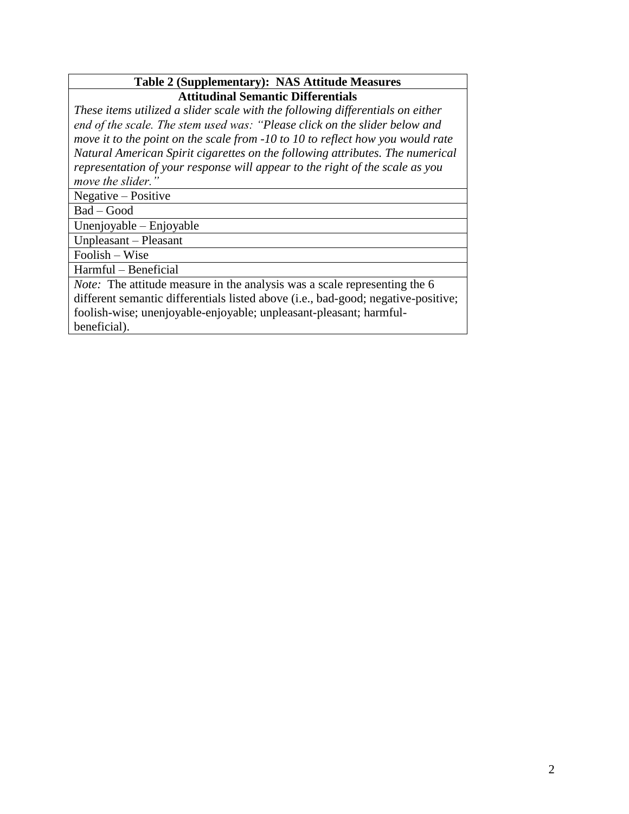## **Table 2 (Supplementary): NAS Attitude Measures Attitudinal Semantic Differentials**

*These items utilized a slider scale with the following differentials on either end of the scale. The stem used was: "Please click on the slider below and move it to the point on the scale from -10 to 10 to reflect how you would rate Natural American Spirit cigarettes on the following attributes. The numerical representation of your response will appear to the right of the scale as you move the slider."*

Negative – Positive

Bad – Good

Unenjoyable – Enjoyable

Unpleasant – Pleasant

Foolish – Wise

Harmful – Beneficial

*Note:* The attitude measure in the analysis was a scale representing the 6 different semantic differentials listed above (i.e., bad-good; negative-positive; foolish-wise; unenjoyable-enjoyable; unpleasant-pleasant; harmfulbeneficial).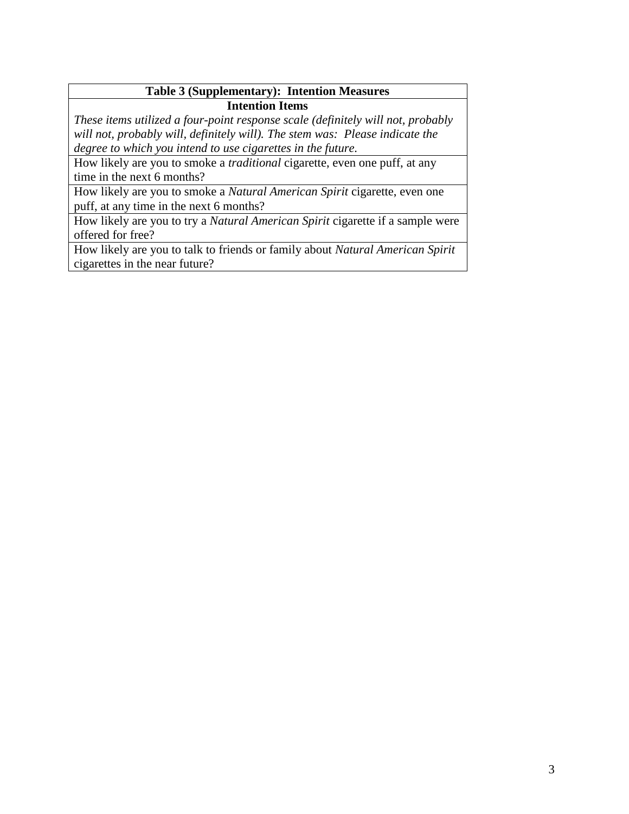## **Table 3 (Supplementary): Intention Measures Intention Items**

*These items utilized a four-point response scale (definitely will not, probably will not, probably will, definitely will). The stem was: Please indicate the degree to which you intend to use cigarettes in the future.*

How likely are you to smoke a *traditional* cigarette, even one puff, at any time in the next 6 months?

How likely are you to smoke a *Natural American Spirit* cigarette, even one puff, at any time in the next 6 months?

How likely are you to try a *Natural American Spirit* cigarette if a sample were offered for free?

How likely are you to talk to friends or family about *Natural American Spirit* cigarettes in the near future?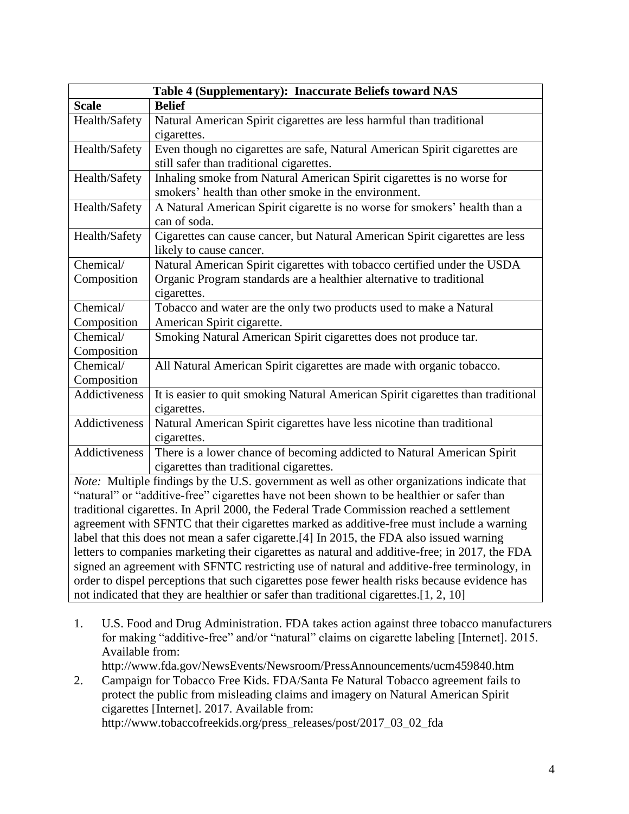| Table 4 (Supplementary): Inaccurate Beliefs toward NAS                                         |                                                                                  |  |  |  |
|------------------------------------------------------------------------------------------------|----------------------------------------------------------------------------------|--|--|--|
| <b>Scale</b>                                                                                   | <b>Belief</b>                                                                    |  |  |  |
| Health/Safety                                                                                  | Natural American Spirit cigarettes are less harmful than traditional             |  |  |  |
|                                                                                                | cigarettes.                                                                      |  |  |  |
| Health/Safety                                                                                  | Even though no cigarettes are safe, Natural American Spirit cigarettes are       |  |  |  |
|                                                                                                | still safer than traditional cigarettes.                                         |  |  |  |
| Health/Safety                                                                                  | Inhaling smoke from Natural American Spirit cigarettes is no worse for           |  |  |  |
|                                                                                                | smokers' health than other smoke in the environment.                             |  |  |  |
| Health/Safety                                                                                  | A Natural American Spirit cigarette is no worse for smokers' health than a       |  |  |  |
|                                                                                                | can of soda.                                                                     |  |  |  |
| Health/Safety                                                                                  | Cigarettes can cause cancer, but Natural American Spirit cigarettes are less     |  |  |  |
|                                                                                                | likely to cause cancer.                                                          |  |  |  |
| Chemical/                                                                                      | Natural American Spirit cigarettes with tobacco certified under the USDA         |  |  |  |
| Composition                                                                                    | Organic Program standards are a healthier alternative to traditional             |  |  |  |
|                                                                                                | cigarettes.                                                                      |  |  |  |
| Chemical/                                                                                      | Tobacco and water are the only two products used to make a Natural               |  |  |  |
| Composition                                                                                    | American Spirit cigarette.                                                       |  |  |  |
| Chemical/                                                                                      | Smoking Natural American Spirit cigarettes does not produce tar.                 |  |  |  |
| Composition                                                                                    |                                                                                  |  |  |  |
| Chemical/                                                                                      | All Natural American Spirit cigarettes are made with organic tobacco.            |  |  |  |
| Composition                                                                                    |                                                                                  |  |  |  |
| Addictiveness                                                                                  | It is easier to quit smoking Natural American Spirit cigarettes than traditional |  |  |  |
|                                                                                                | cigarettes.                                                                      |  |  |  |
| Addictiveness                                                                                  | Natural American Spirit cigarettes have less nicotine than traditional           |  |  |  |
|                                                                                                | cigarettes.                                                                      |  |  |  |
| Addictiveness                                                                                  | There is a lower chance of becoming addicted to Natural American Spirit          |  |  |  |
|                                                                                                | cigarettes than traditional cigarettes.                                          |  |  |  |
| Note: Multiple findings by the U.S. government as well as other organizations indicate that    |                                                                                  |  |  |  |
| "natural" or "additive-free" cigarettes have not been shown to be healthier or safer than      |                                                                                  |  |  |  |
| traditional cigarettes. In April 2000, the Federal Trade Commission reached a settlement       |                                                                                  |  |  |  |
| agreement with SFNTC that their cigarettes marked as additive-free must include a warning      |                                                                                  |  |  |  |
| label that this does not mean a safer cigarette.[4] In 2015, the FDA also issued warning       |                                                                                  |  |  |  |
| letters to companies marketing their cigarettes as natural and additive-free; in 2017, the FDA |                                                                                  |  |  |  |
| signed an agreement with SFNTC restricting use of natural and additive-free terminology, in    |                                                                                  |  |  |  |
| order to dispel perceptions that such cigarettes pose fewer health risks because evidence has  |                                                                                  |  |  |  |
| not indicated that they are healthier or safer than traditional cigarettes.[1, 2, 10]          |                                                                                  |  |  |  |

- 1. U.S. Food and Drug Administration. FDA takes action against three tobacco manufacturers for making "additive-free" and/or "natural" claims on cigarette labeling [Internet]. 2015. Available from: http://www.fda.gov/NewsEvents/Newsroom/PressAnnouncements/ucm459840.htm
- 2. Campaign for Tobacco Free Kids. FDA/Santa Fe Natural Tobacco agreement fails to protect the public from misleading claims and imagery on Natural American Spirit cigarettes [Internet]. 2017. Available from: http://www.tobaccofreekids.org/press\_releases/post/2017\_03\_02\_fda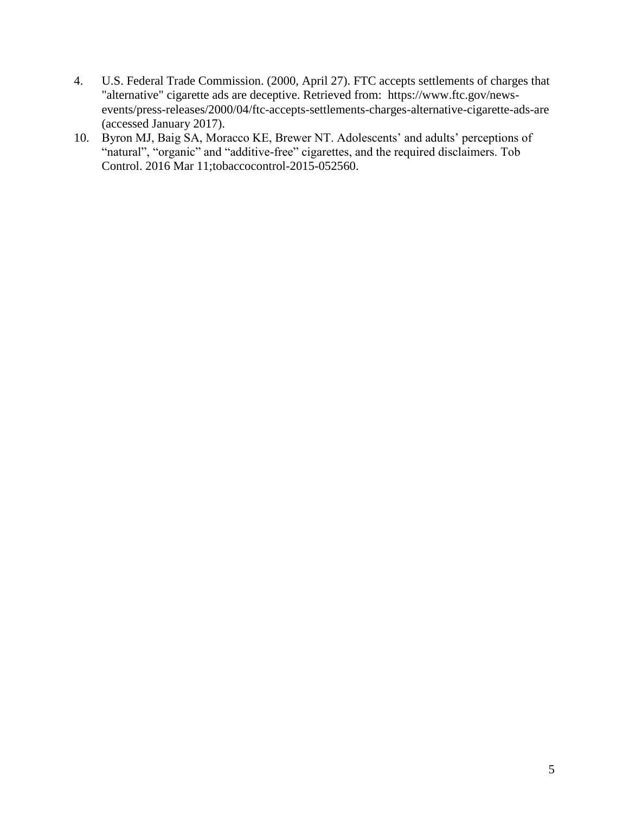- 4. U.S. Federal Trade Commission. (2000, April 27). FTC accepts settlements of charges that "alternative" cigarette ads are deceptive. Retrieved from: https://www.ftc.gov/newsevents/press-releases/2000/04/ftc-accepts-settlements-charges-alternative-cigarette-ads-are (accessed January 2017).
- 10. Byron MJ, Baig SA, Moracco KE, Brewer NT. Adolescents' and adults' perceptions of "natural", "organic" and "additive-free" cigarettes, and the required disclaimers. Tob Control. 2016 Mar 11;tobaccocontrol-2015-052560.